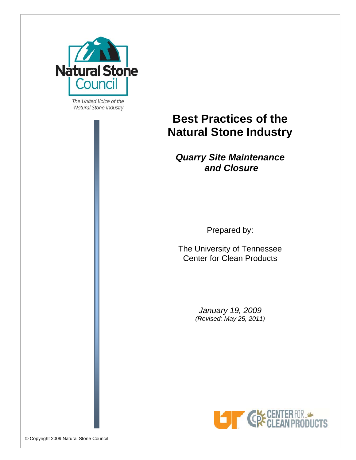

The United Voice of the Natural Stone Industry

# **Best Practices of the Natural Stone Industry**

# *Quarry Site Maintenance and Closure*

Prepared by:

The University of Tennessee Center for Clean Products

> *January 19, 2009 (Revised: May 25, 2011)*

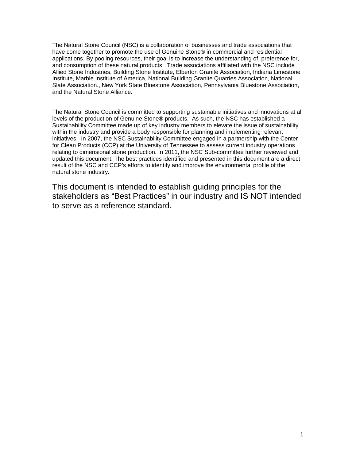The Natural Stone Council (NSC) is a collaboration of businesses and trade associations that have come together to promote the use of Genuine Stone® in commercial and residential applications. By pooling resources, their goal is to increase the understanding of, preference for, and consumption of these natural products. Trade associations affiliated with the NSC include Allied Stone Industries, Building Stone Institute, Elberton Granite Association, Indiana Limestone Institute, Marble Institute of America, National Building Granite Quarries Association, National Slate Association., New York State Bluestone Association, Pennsylvania Bluestone Association, and the Natural Stone Alliance.

The Natural Stone Council is committed to supporting sustainable initiatives and innovations at all levels of the production of Genuine Stone® products. As such, the NSC has established a Sustainability Committee made up of key industry members to elevate the issue of sustainability within the industry and provide a body responsible for planning and implementing relevant initiatives. In 2007, the NSC Sustainability Committee engaged in a partnership with the Center for Clean Products (CCP) at the University of Tennessee to assess current industry operations relating to dimensional stone production. In 2011, the NSC Sub-committee further reviewed and updated this document. The best practices identified and presented in this document are a direct result of the NSC and CCP's efforts to identify and improve the environmental profile of the natural stone industry.

This document is intended to establish guiding principles for the stakeholders as "Best Practices" in our industry and IS NOT intended to serve as a reference standard.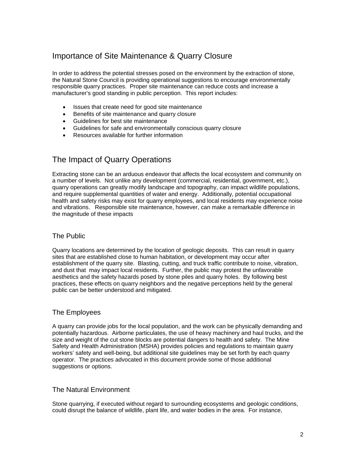# Importance of Site Maintenance & Quarry Closure

In order to address the potential stresses posed on the environment by the extraction of stone, the Natural Stone Council is providing operational suggestions to encourage environmentally responsible quarry practices. Proper site maintenance can reduce costs and increase a manufacturer's good standing in public perception. This report includes:

- Issues that create need for good site maintenance
- Benefits of site maintenance and quarry closure
- Guidelines for best site maintenance
- Guidelines for safe and environmentally conscious quarry closure
- Resources available for further information

# The Impact of Quarry Operations

Extracting stone can be an arduous endeavor that affects the local ecosystem and community on a number of levels. Not unlike any development (commercial, residential, government, etc.), quarry operations can greatly modify landscape and topography, can impact wildlife populations, and require supplemental quantities of water and energy. Additionally, potential occupational health and safety risks may exist for quarry employees, and local residents may experience noise and vibrations. Responsible site maintenance, however, can make a remarkable difference in the magnitude of these impacts

### The Public

Quarry locations are determined by the location of geologic deposits. This can result in quarry sites that are established close to human habitation, or development may occur after establishment of the quarry site. Blasting, cutting, and truck traffic contribute to noise, vibration, and dust that may impact local residents. Further, the public may protest the unfavorable aesthetics and the safety hazards posed by stone piles and quarry holes. By following best practices, these effects on quarry neighbors and the negative perceptions held by the general public can be better understood and mitigated.

### The Employees

A quarry can provide jobs for the local population, and the work can be physically demanding and potentially hazardous. Airborne particulates, the use of heavy machinery and haul trucks, and the size and weight of the cut stone blocks are potential dangers to health and safety. The Mine Safety and Health Administration (MSHA) provides policies and regulations to maintain quarry workers' safety and well-being, but additional site guidelines may be set forth by each quarry operator. The practices advocated in this document provide some of those additional suggestions or options.

### The Natural Environment

Stone quarrying, if executed without regard to surrounding ecosystems and geologic conditions, could disrupt the balance of wildlife, plant life, and water bodies in the area. For instance,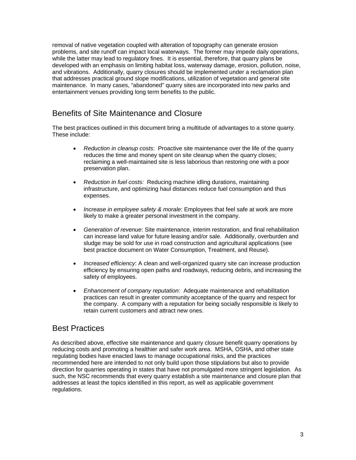removal of native vegetation coupled with alteration of topography can generate erosion problems, and site runoff can impact local waterways. The former may impede daily operations, while the latter may lead to regulatory fines. It is essential, therefore, that quarry plans be developed with an emphasis on limiting habitat loss, waterway damage, erosion, pollution, noise, and vibrations. Additionally, quarry closures should be implemented under a reclamation plan that addresses practical ground slope modifications, utilization of vegetation and general site maintenance. In many cases, "abandoned" quarry sites are incorporated into new parks and entertainment venues providing long term benefits to the public.

# Benefits of Site Maintenance and Closure

The best practices outlined in this document bring a multitude of advantages to a stone quarry. These include:

- *Reduction in cleanup costs*: Proactive site maintenance over the life of the quarry reduces the time and money spent on site cleanup when the quarry closes; reclaiming a well-maintained site is less laborious than restoring one with a poor preservation plan.
- *Reduction in fuel costs:* Reducing machine idling durations, maintaining infrastructure, and optimizing haul distances reduce fuel consumption and thus expenses.
- *Increase in employee safety & morale*: Employees that feel safe at work are more likely to make a greater personal investment in the company.
- *Generation of revenue*: Site maintenance, interim restoration, and final rehabilitation can increase land value for future leasing and/or sale. Additionally, overburden and sludge may be sold for use in road construction and agricultural applications (see best practice document on Water Consumption, Treatment, and Reuse).
- *Increased efficiency*: A clean and well-organized quarry site can increase production efficiency by ensuring open paths and roadways, reducing debris, and increasing the safety of employees.
- *Enhancement of company reputation*: Adequate maintenance and rehabilitation practices can result in greater community acceptance of the quarry and respect for the company. A company with a reputation for being socially responsible is likely to retain current customers and attract new ones.

# Best Practices

As described above, effective site maintenance and quarry closure benefit quarry operations by reducing costs and promoting a healthier and safer work area. MSHA, OSHA, and other state regulating bodies have enacted laws to manage occupational risks, and the practices recommended here are intended to not only build upon those stipulations but also to provide direction for quarries operating in states that have not promulgated more stringent legislation. As such, the NSC recommends that every quarry establish a site maintenance and closure plan that addresses at least the topics identified in this report, as well as applicable government regulations.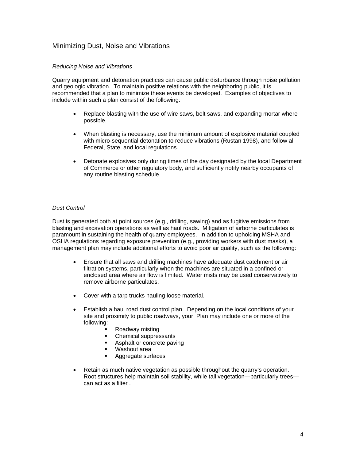### Minimizing Dust, Noise and Vibrations

#### *Reducing Noise and Vibrations*

Quarry equipment and detonation practices can cause public disturbance through noise pollution and geologic vibration. To maintain positive relations with the neighboring public, it is recommended that a plan to minimize these events be developed. Examples of objectives to include within such a plan consist of the following:

- Replace blasting with the use of wire saws, belt saws, and expanding mortar where possible.
- When blasting is necessary, use the minimum amount of explosive material coupled with micro-sequential detonation to reduce vibrations (Rustan 1998), and follow all Federal, State, and local regulations.
- Detonate explosives only during times of the day designated by the local Department of Commerce or other regulatory body, and sufficiently notify nearby occupants of any routine blasting schedule.

#### *Dust Control*

Dust is generated both at point sources (e.g., drilling, sawing) and as fugitive emissions from blasting and excavation operations as well as haul roads. Mitigation of airborne particulates is paramount in sustaining the health of quarry employees. In addition to upholding MSHA and OSHA regulations regarding exposure prevention (e.g., providing workers with dust masks), a management plan may include additional efforts to avoid poor air quality, such as the following:

- Ensure that all saws and drilling machines have adequate dust catchment or air filtration systems, particularly when the machines are situated in a confined or enclosed area where air flow is limited. Water mists may be used conservatively to remove airborne particulates.
- Cover with a tarp trucks hauling loose material.
- Establish a haul road dust control plan. Depending on the local conditions of your site and proximity to public roadways, your Plan may include one or more of the following:
	- Roadway misting
	- Chemical suppressants
	- Asphalt or concrete paving
	- Washout area
	- Aggregate surfaces
- Retain as much native vegetation as possible throughout the quarry's operation. Root structures help maintain soil stability, while tall vegetation—particularly trees can act as a filter .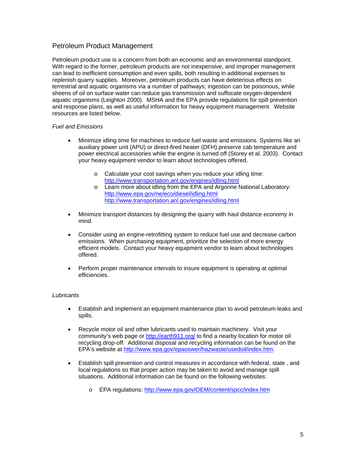### Petroleum Product Management

Petroleum product use is a concern from both an economic and an environmental standpoint. With regard to the former, petroleum products are not inexpensive, and improper management can lead to inefficient consumption and even spills, both resulting in additional expenses to replenish quarry supplies. Moreover, petroleum products can have deleterious effects on terrestrial and aquatic organisms via a number of pathways; ingestion can be poisonous, while sheens of oil on surface water can reduce gas transmission and suffocate oxygen-dependent aquatic organisms (Leighton 2000). MSHA and the EPA provide regulations for spill prevention and response plans, as well as useful information for heavy equipment management. Website resources are listed below.

#### *Fuel and Emissions*

- Minimize idling time for machines to reduce fuel waste and emissions. Systems like an auxiliary power unit (APU) or direct-fired heater (DFH) preserve cab temperature and power electrical accessories while the engine is turned off (Storey et al. 2003). Contact your heavy equipment vendor to learn about technologies offered.
	- o Calculate your cost savings when you reduce your idling time: http://www.transportation.anl.gov/engines/idling.html
	- o Learn more about idling from the EPA and Argonne National Laboratory: http://www.epa.gov/ne/eco/diesel/idling.html http://www.transportation.anl.gov/engines/idling.html
- Minimize transport distances by designing the quarry with haul distance economy in mind.
- Consider using an engine-retrofitting system to reduce fuel use and decrease carbon emissions. When purchasing equipment, prioritize the selection of more energy efficient models. Contact your heavy equipment vendor to learn about technologies offered.
- Perform proper maintenance intervals to insure equipment is operating at optimal efficiencies.

#### *Lubricants*

- Establish and implement an equipment maintenance plan to avoid petroleum leaks and spills.
- Recycle motor oil and other lubricants used to maintain machinery. Visit your community's web page or http://earth911.org/ to find a nearby location for motor oil recycling drop-off. Additional disposal and recycling information can be found on the EPA's website at http://www.epa.gov/epaoswer/hazwaste/usedoil/index.htm.
- Establish spill prevention and control measures in accordance with federal, state , and local regulations so that proper action may be taken to avoid and manage spill situations. Additional information can be found on the following websites:
	- o EPA regulations: http://www.epa.gov/OEM/content/spcc/index.htm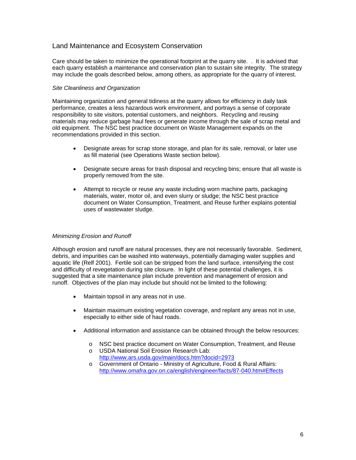### Land Maintenance and Ecosystem Conservation

Care should be taken to minimize the operational footprint at the quarry site. . It is advised that each quarry establish a maintenance and conservation plan to sustain site integrity. The strategy may include the goals described below, among others, as appropriate for the quarry of interest.

#### *Site Cleanliness and Organization*

Maintaining organization and general tidiness at the quarry allows for efficiency in daily task performance, creates a less hazardous work environment, and portrays a sense of corporate responsibility to site visitors, potential customers, and neighbors. Recycling and reusing materials may reduce garbage haul fees or generate income through the sale of scrap metal and old equipment. The NSC best practice document on Waste Management expands on the recommendations provided in this section.

- Designate areas for scrap stone storage, and plan for its sale, removal, or later use as fill material (see Operations Waste section below).
- Designate secure areas for trash disposal and recycling bins; ensure that all waste is properly removed from the site.
- Attempt to recycle or reuse any waste including worn machine parts, packaging materials, water, motor oil, and even slurry or sludge; the NSC best practice document on Water Consumption, Treatment, and Reuse further explains potential uses of wastewater sludge.

#### *Minimizing Erosion and Runoff*

Although erosion and runoff are natural processes, they are not necessarily favorable. Sediment, debris, and impurities can be washed into waterways, potentially damaging water supplies and aquatic life (Relf 2001). Fertile soil can be stripped from the land surface, intensifying the cost and difficulty of revegetation during site closure. In light of these potential challenges, it is suggested that a site maintenance plan include prevention and management of erosion and runoff. Objectives of the plan may include but should not be limited to the following:

- Maintain topsoil in any areas not in use.
- Maintain maximum existing vegetation coverage, and replant any areas not in use, especially to either side of haul roads.
- Additional information and assistance can be obtained through the below resources:
	- o NSC best practice document on Water Consumption, Treatment, and Reuse o USDA National Soil Erosion Research Lab:
	- http://www.ars.usda.gov/main/docs.htm?docid=2973 o Government of Ontario - Ministry of Agriculture, Food & Rural Affairs: http://www.omafra.gov.on.ca/english/engineer/facts/87-040.htm#Effects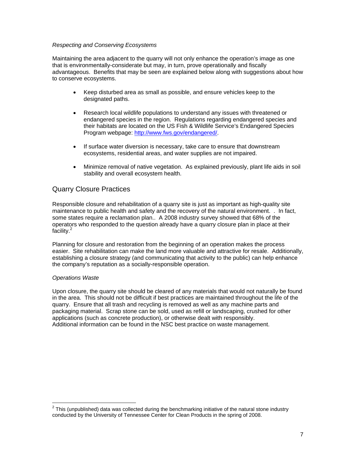#### *Respecting and Conserving Ecosystems*

Maintaining the area adjacent to the quarry will not only enhance the operation's image as one that is environmentally-considerate but may, in turn, prove operationally and fiscally advantageous. Benefits that may be seen are explained below along with suggestions about how to conserve ecosystems.

- Keep disturbed area as small as possible, and ensure vehicles keep to the designated paths.
- Research local wildlife populations to understand any issues with threatened or endangered species in the region. Regulations regarding endangered species and their habitats are located on the US Fish & Wildlife Service's Endangered Species Program webpage: http://www.fws.gov/endangered/.
- If surface water diversion is necessary, take care to ensure that downstream ecosystems, residential areas, and water supplies are not impaired.
- Minimize removal of native vegetation. As explained previously, plant life aids in soil stability and overall ecosystem health.

### Quarry Closure Practices

Responsible closure and rehabilitation of a quarry site is just as important as high-quality site maintenance to public health and safety and the recovery of the natural environment. . In fact, some states require a reclamation plan.. A 2008 industry survey showed that 68% of the operators who responded to the question already have a quarry closure plan in place at their facility.<sup>2</sup>

Planning for closure and restoration from the beginning of an operation makes the process easier. Site rehabilitation can make the land more valuable and attractive for resale. Additionally, establishing a closure strategy (and communicating that activity to the public) can help enhance the company's reputation as a socially-responsible operation.

#### *Operations Waste*

Upon closure, the quarry site should be cleared of any materials that would not naturally be found in the area. This should not be difficult if best practices are maintained throughout the life of the quarry. Ensure that all trash and recycling is removed as well as any machine parts and packaging material. Scrap stone can be sold, used as refill or landscaping, crushed for other applications (such as concrete production), or otherwise dealt with responsibly. Additional information can be found in the NSC best practice on waste management.

This (unpublished) data was collected during the benchmarking initiative of the natural stone industry<br><sup>2</sup> This (unpublished) data was collected during the benchmarking initiative of the natural stone industry conducted by the University of Tennessee Center for Clean Products in the spring of 2008.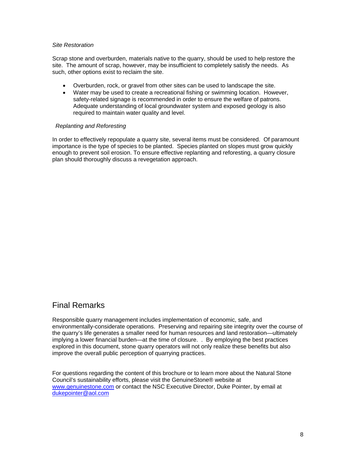#### *Site Restoration*

Scrap stone and overburden, materials native to the quarry, should be used to help restore the site. The amount of scrap, however, may be insufficient to completely satisfy the needs. As such, other options exist to reclaim the site.

- Overburden, rock, or gravel from other sites can be used to landscape the site.
- Water may be used to create a recreational fishing or swimming location. However, safety-related signage is recommended in order to ensure the welfare of patrons. Adequate understanding of local groundwater system and exposed geology is also required to maintain water quality and level.

#### *Replanting and Reforesting*

In order to effectively repopulate a quarry site, several items must be considered. Of paramount importance is the type of species to be planted. Species planted on slopes must grow quickly enough to prevent soil erosion. To ensure effective replanting and reforesting, a quarry closure plan should thoroughly discuss a revegetation approach.

# Final Remarks

Responsible quarry management includes implementation of economic, safe, and environmentally-considerate operations. Preserving and repairing site integrity over the course of the quarry's life generates a smaller need for human resources and land restoration—ultimately implying a lower financial burden—at the time of closure. . By employing the best practices explored in this document, stone quarry operators will not only realize these benefits but also improve the overall public perception of quarrying practices.

For questions regarding the content of this brochure or to learn more about the Natural Stone Council's sustainability efforts, please visit the GenuineStone® website at www.genuinestone.com or contact the NSC Executive Director, Duke Pointer, by email at dukepointer@aol.com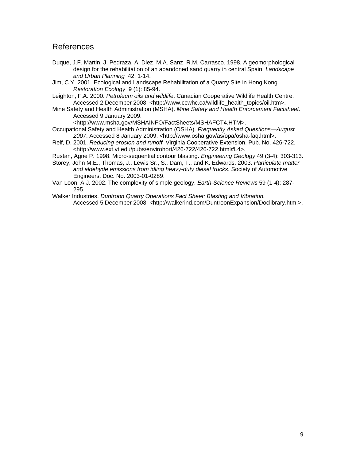## References

- Duque, J.F. Martin, J. Pedraza, A. Diez, M.A. Sanz, R.M. Carrasco. 1998. A geomorphological design for the rehabilitation of an abandoned sand quarry in central Spain. *Landscape and Urban Planning* 42: 1-14.
- Jim, C.Y. 2001. Ecological and Landscape Rehabilitation of a Quarry Site in Hong Kong. *Restoration Ecology* 9 (1): 85-94.
- Leighton, F.A. 2000. *Petroleum oils and wildlife*. Canadian Cooperative Wildlife Health Centre. Accessed 2 December 2008. <http://www.ccwhc.ca/wildlife\_health\_topics/oil.htm>.
- Mine Safety and Health Administration (MSHA). *Mine Safety and Health Enforcement Factsheet.*  Accessed 9 January 2009.

<http://www.msha.gov/MSHAINFO/FactSheets/MSHAFCT4.HTM>.

- Occupational Safety and Health Administration (OSHA). *Frequently Asked Questions—August 2007*. Accessed 8 January 2009. <http://www.osha.gov/as/opa/osha-faq.html>.
- Relf, D. 2001. *Reducing erosion and runoff.* Virginia Cooperative Extension. Pub. No. 426-722. <http://www.ext.vt.edu/pubs/envirohort/426-722/426-722.html#L4>.
- Rustan, Agne P. 1998. Micro-sequential contour blasting. *Engineering Geology* 49 (3-4): 303-313.
- Storey, John M.E., Thomas, J., Lewis Sr., S., Dam, T., and K. Edwards. 2003. *Particulate matter and aldehyde emissions from idling heavy-duty diesel trucks*. Society of Automotive Engineers. Doc. No. 2003-01-0289.
- Van Loon, A.J. 2002. The complexity of simple geology. *Earth-Science Reviews* 59 (1-4): 287- 295.
- Walker Industries. *Duntroon Quarry Operations Fact Sheet: Blasting and Vibration.* Accessed 5 December 2008. <http://walkerind.com/DuntroonExpansion/Doclibrary.htm.>.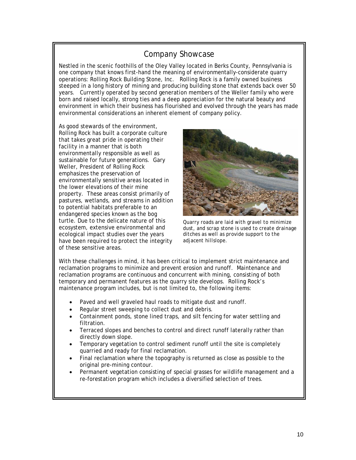# Company Showcase

Nestled in the scenic foothills of the Oley Valley located in Berks County, Pennsylvania is one company that knows first-hand the meaning of environmentally-considerate quarry operations: Rolling Rock Building Stone, Inc. Rolling Rock is a family owned business steeped in a long history of mining and producing building stone that extends back over 50 years. Currently operated by second generation members of the Weller family who were born and raised locally, strong ties and a deep appreciation for the natural beauty and environment in which their business has flourished and evolved through the years has made environmental considerations an inherent element of company policy.

As good stewards of the environment, Rolling Rock has built a corporate culture that takes great pride in operating their facility in a manner that is both environmentally responsible as well as sustainable for future generations. Gary Weller, President of Rolling Rock emphasizes the preservation of environmentally sensitive areas located in the lower elevations of their mine property. These areas consist primarily of pastures, wetlands, and streams in addition to potential habitats preferable to an endangered species known as the bog turtle. Due to the delicate nature of this ecosystem, extensive environmental and ecological impact studies over the years have been required to protect the integrity of these sensitive areas.



*Quarry roads are laid with gravel to minimize dust, and scrap stone is used to create drainage ditches as well as provide support to the adjacent hillslope.*

With these challenges in mind, it has been critical to implement strict maintenance and reclamation programs to minimize and prevent erosion and runoff. Maintenance and reclamation programs are continuous and concurrent with mining, consisting of both temporary and permanent features as the quarry site develops. Rolling Rock's maintenance program includes, but is not limited to, the following items:

- Paved and well graveled haul roads to mitigate dust and runoff.
- Regular street sweeping to collect dust and debris.
- Containment ponds, stone lined traps, and silt fencing for water settling and filtration.
- Terraced slopes and benches to control and direct runoff laterally rather than directly down slope.
- Temporary vegetation to control sediment runoff until the site is completely quarried and ready for final reclamation.
- Final reclamation where the topography is returned as close as possible to the original pre-mining contour.
- Permanent vegetation consisting of special grasses for wildlife management and a re-forestation program which includes a diversified selection of trees.